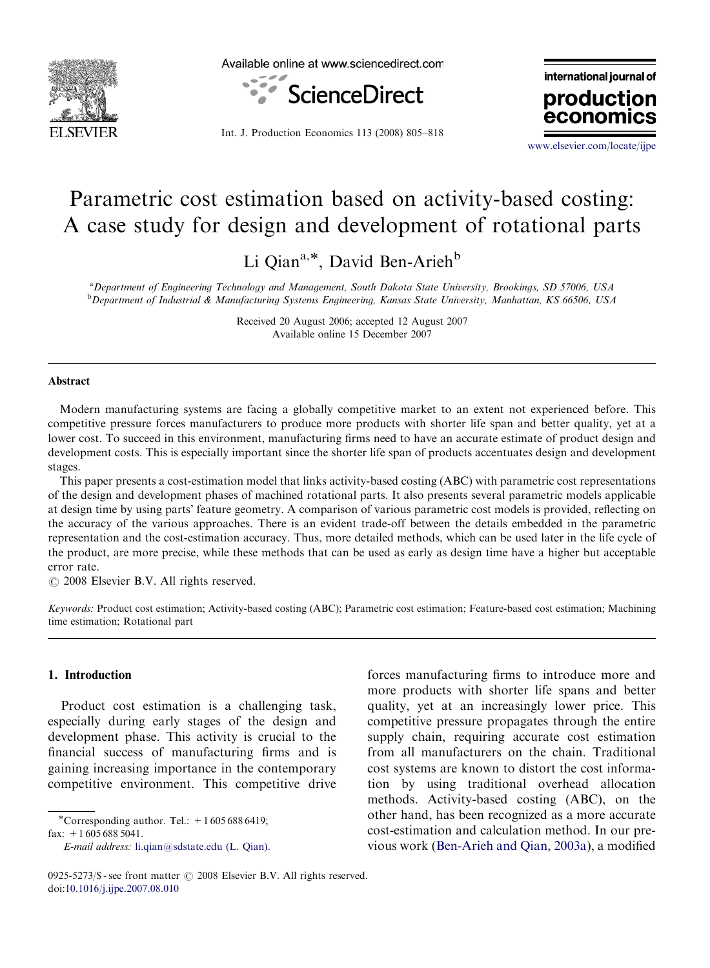

Available online at www.sciencedirect.com



international journal of production

Int. J. Production Economics 113 (2008) 805–818

<www.elsevier.com/locate/ijpe>

econor

## Parametric cost estimation based on activity-based costing: A case study for design and development of rotational parts

Li Qian<sup>a,\*</sup>, David Ben-Arieh<sup>b</sup>

<sup>a</sup> Department of Engineering Technology and Management, South Dakota State University, Brookings, SD 57006, USA b Department of Industrial & Manufacturing Systems Engineering, Kansas State University, Manhattan, KS 66506, USA

> Received 20 August 2006; accepted 12 August 2007 Available online 15 December 2007

#### Abstract

Modern manufacturing systems are facing a globally competitive market to an extent not experienced before. This competitive pressure forces manufacturers to produce more products with shorter life span and better quality, yet at a lower cost. To succeed in this environment, manufacturing firms need to have an accurate estimate of product design and development costs. This is especially important since the shorter life span of products accentuates design and development stages.

This paper presents a cost-estimation model that links activity-based costing (ABC) with parametric cost representations of the design and development phases of machined rotational parts. It also presents several parametric models applicable at design time by using parts' feature geometry. A comparison of various parametric cost models is provided, reflecting on the accuracy of the various approaches. There is an evident trade-off between the details embedded in the parametric representation and the cost-estimation accuracy. Thus, more detailed methods, which can be used later in the life cycle of the product, are more precise, while these methods that can be used as early as design time have a higher but acceptable error rate.

 $\odot$  2008 Elsevier B.V. All rights reserved.

Keywords: Product cost estimation; Activity-based costing (ABC); Parametric cost estimation; Feature-based cost estimation; Machining time estimation; Rotational part

#### 1. Introduction

Product cost estimation is a challenging task, especially during early stages of the design and development phase. This activity is crucial to the financial success of manufacturing firms and is gaining increasing importance in the contemporary competitive environment. This competitive drive

fax: +1 605 688 5041.

E-mail address: [li.qian@sdstate.edu \(L. Qian\).](mailto:li.qian@sdstate.edu)

forces manufacturing firms to introduce more and more products with shorter life spans and better quality, yet at an increasingly lower price. This competitive pressure propagates through the entire supply chain, requiring accurate cost estimation from all manufacturers on the chain. Traditional cost systems are known to distort the cost information by using traditional overhead allocation methods. Activity-based costing (ABC), on the other hand, has been recognized as a more accurate cost-estimation and calculation method. In our previous work ([Ben-Arieh and Qian, 2003a](#page--1-0)), a modified

<sup>\*</sup>Corresponding author. Tel.:  $+16056886419;$ 

<sup>0925-5273/\$ -</sup> see front matter  $\odot$  2008 Elsevier B.V. All rights reserved. doi:[10.1016/j.ijpe.2007.08.010](dx.doi.org/10.1016/j.ijpe.2007.08.010)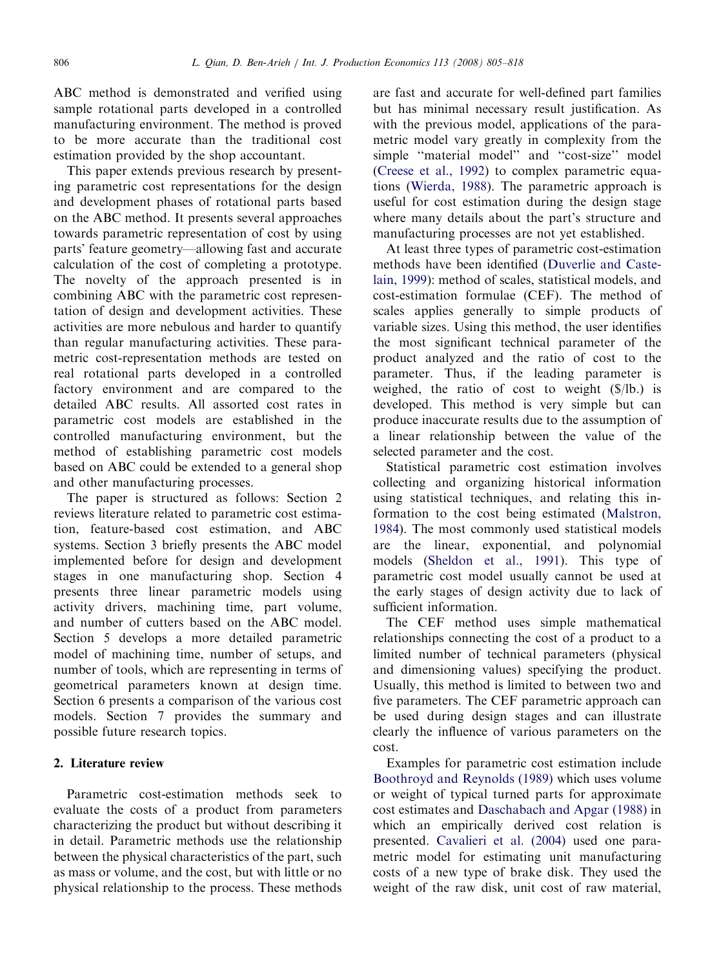ABC method is demonstrated and verified using sample rotational parts developed in a controlled manufacturing environment. The method is proved to be more accurate than the traditional cost estimation provided by the shop accountant.

This paper extends previous research by presenting parametric cost representations for the design and development phases of rotational parts based on the ABC method. It presents several approaches towards parametric representation of cost by using parts' feature geometry—allowing fast and accurate calculation of the cost of completing a prototype. The novelty of the approach presented is in combining ABC with the parametric cost representation of design and development activities. These activities are more nebulous and harder to quantify than regular manufacturing activities. These parametric cost-representation methods are tested on real rotational parts developed in a controlled factory environment and are compared to the detailed ABC results. All assorted cost rates in parametric cost models are established in the controlled manufacturing environment, but the method of establishing parametric cost models based on ABC could be extended to a general shop and other manufacturing processes.

The paper is structured as follows: Section 2 reviews literature related to parametric cost estimation, feature-based cost estimation, and ABC systems. Section 3 briefly presents the ABC model implemented before for design and development stages in one manufacturing shop. Section 4 presents three linear parametric models using activity drivers, machining time, part volume, and number of cutters based on the ABC model. Section 5 develops a more detailed parametric model of machining time, number of setups, and number of tools, which are representing in terms of geometrical parameters known at design time. Section 6 presents a comparison of the various cost models. Section 7 provides the summary and possible future research topics.

### 2. Literature review

Parametric cost-estimation methods seek to evaluate the costs of a product from parameters characterizing the product but without describing it in detail. Parametric methods use the relationship between the physical characteristics of the part, such as mass or volume, and the cost, but with little or no physical relationship to the process. These methods

are fast and accurate for well-defined part families but has minimal necessary result justification. As with the previous model, applications of the parametric model vary greatly in complexity from the simple "material model" and "cost-size" model ([Creese et al., 1992\)](#page--1-0) to complex parametric equations [\(Wierda, 1988\)](#page--1-0). The parametric approach is useful for cost estimation during the design stage where many details about the part's structure and manufacturing processes are not yet established.

At least three types of parametric cost-estimation methods have been identified [\(Duverlie and Caste](#page--1-0)[lain, 1999\)](#page--1-0): method of scales, statistical models, and cost-estimation formulae (CEF). The method of scales applies generally to simple products of variable sizes. Using this method, the user identifies the most significant technical parameter of the product analyzed and the ratio of cost to the parameter. Thus, if the leading parameter is weighed, the ratio of cost to weight (\$/lb.) is developed. This method is very simple but can produce inaccurate results due to the assumption of a linear relationship between the value of the selected parameter and the cost.

Statistical parametric cost estimation involves collecting and organizing historical information using statistical techniques, and relating this information to the cost being estimated [\(Malstron,](#page--1-0) [1984](#page--1-0)). The most commonly used statistical models are the linear, exponential, and polynomial models [\(Sheldon et al., 1991\)](#page--1-0). This type of parametric cost model usually cannot be used at the early stages of design activity due to lack of sufficient information.

The CEF method uses simple mathematical relationships connecting the cost of a product to a limited number of technical parameters (physical and dimensioning values) specifying the product. Usually, this method is limited to between two and five parameters. The CEF parametric approach can be used during design stages and can illustrate clearly the influence of various parameters on the cost.

Examples for parametric cost estimation include [Boothroyd and Reynolds \(1989\)](#page--1-0) which uses volume or weight of typical turned parts for approximate cost estimates and [Daschabach and Apgar \(1988\)](#page--1-0) in which an empirically derived cost relation is presented. [Cavalieri et al. \(2004\)](#page--1-0) used one parametric model for estimating unit manufacturing costs of a new type of brake disk. They used the weight of the raw disk, unit cost of raw material,